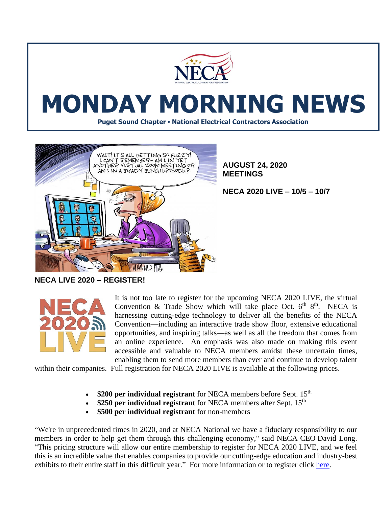

## **MONDAY MORNING NEWS**

**Puget Sound Chapter • National Electrical Contractors Association**



**AUGUST 24, 2020 MEETINGS**

**NECA 2020 LIVE – 10/5 – 10/7**

**NECA LIVE 2020 – REGISTER!**



It is not too late to register for the upcoming NECA 2020 LIVE, the virtual Convention & Trade Show which will take place Oct.  $6<sup>th</sup>-8<sup>th</sup>$ . NECA is harnessing cutting-edge technology to deliver all the benefits of the NECA Convention—including an interactive trade show floor, extensive educational opportunities, and inspiring talks—as well as all the freedom that comes from an online experience. An emphasis was also made on making this event accessible and valuable to NECA members amidst these uncertain times, enabling them to send more members than ever and continue to develop talent

within their companies. Full registration for NECA 2020 LIVE is available at the following prices.

- \$200 per individual registrant for NECA members before Sept. 15<sup>th</sup>
- **\$250 per individual registrant** for NECA members after Sept. 15<sup>th</sup>
- **\$500 per individual registrant** for non-members

"We're in unprecedented times in 2020, and at NECA National we have a fiduciary responsibility to our members in order to help get them through this challenging economy," said NECA CEO David Long. "This pricing structure will allow our entire membership to register for NECA 2020 LIVE, and we feel this is an incredible value that enables companies to provide our cutting-edge education and industry-best exhibits to their entire staff in this difficult year." For more information or to register click [here.](https://reg.cmrus.com/neca2020/)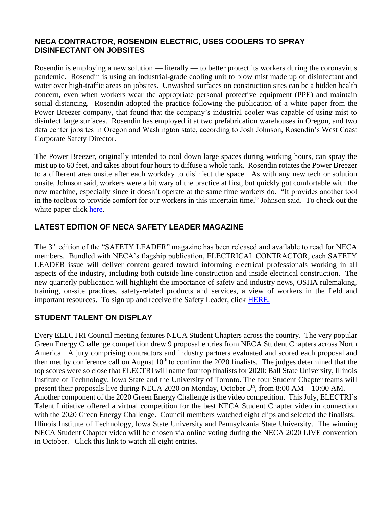## **NECA CONTRACTOR, ROSENDIN ELECTRIC, USES COOLERS TO SPRAY DISINFECTANT ON JOBSITES**

Rosendin is employing a new solution — literally — to better protect its workers during the coronavirus pandemic. Rosendin is using an industrial-grade cooling unit to blow mist made up of disinfectant and water over high-traffic areas on jobsites. Unwashed surfaces on construction sites can be a hidden health concern, even when workers wear the appropriate personal protective equipment (PPE) and maintain social distancing. Rosendin adopted the practice following the publication of [a white paper from the](http://landing.powerbreezer.com/covid-19/)  [Power Breezer company,](http://landing.powerbreezer.com/covid-19/) that found that the company's industrial cooler was capable of using mist to disinfect large surfaces. Rosendin has employed it at two prefabrication warehouses in Oregon, and two data center jobsites in Oregon and Washington state, according to Josh Johnson, Rosendin's West Coast Corporate Safety Director.

The Power Breezer, originally intended to cool down large spaces during working hours, can spray the mist up to 60 feet, and takes about four hours to diffuse a whole tank. Rosendin rotates the Power Breezer to a different area onsite after each workday to disinfect the space. As with any new tech or solution onsite, Johnson said, workers were a bit wary of the practice at first, but quickly got comfortable with the new machine, especially since it doesn't operate at the same time workers do. "It provides another tool in the toolbox to provide comfort for our workers in this uncertain time," Johnson said. To check out the white paper click [here.](https://www.powerbreezer.com/wp-content/Power%20Breezer%20-%20COVID-19_Corona%20White%20Paper.pdf)

## **LATEST EDITION OF NECA SAFETY LEADER MAGAZINE**

The 3rd edition of the "SAFETY LEADER" magazine has been released and available to read for NECA members. Bundled with NECA's flagship publication, ELECTRICAL CONTRACTOR, each SAFETY LEADER issue will deliver content geared toward informing electrical professionals working in all aspects of the industry, including both outside line construction and inside electrical construction. The new quarterly publication will highlight the importance of safety and industry news, OSHA rulemaking, training, on-site practices, safety-related products and services, a view of workers in the field and important resources. To sign up and receive the Safety Leader, click [HERE.](https://www.ecmag.com/magazine/archives/safety-leader)

## **STUDENT TALENT ON DISPLAY**

Every ELECTRI Council meeting features NECA Student Chapters across the country. The very popular Green Energy Challenge competition drew 9 proposal entries from NECA Student Chapters across North America. A jury comprising contractors and industry partners evaluated and scored each proposal and then met by conference call on August 10<sup>th</sup> to confirm the 2020 finalists. The judges determined that the top scores were so close that ELECTRI will name four top finalists for 2020: Ball State University, Illinois Institute of Technology, Iowa State and the University of Toronto. The four Student Chapter teams will present their proposals live during NECA 2020 on Monday, October 5<sup>th</sup>, from 8:00 AM – 10:00 AM. Another component of the 2020 Green Energy Challenge is the video competition. This July, ELECTRI's Talent Initiative offered a virtual competition for the best NECA Student Chapter video in connection with the 2020 Green Energy Challenge. Council members watched eight clips and selected the finalists: Illinois Institute of Technology, Iowa State University and Pennsylvania State University. The winning NECA Student Chapter video will be chosen via online voting during the NECA 2020 LIVE convention in October. [Click this link](https://www.surveymonkey.com/r/GEC2020Video) to watch all eight entries.